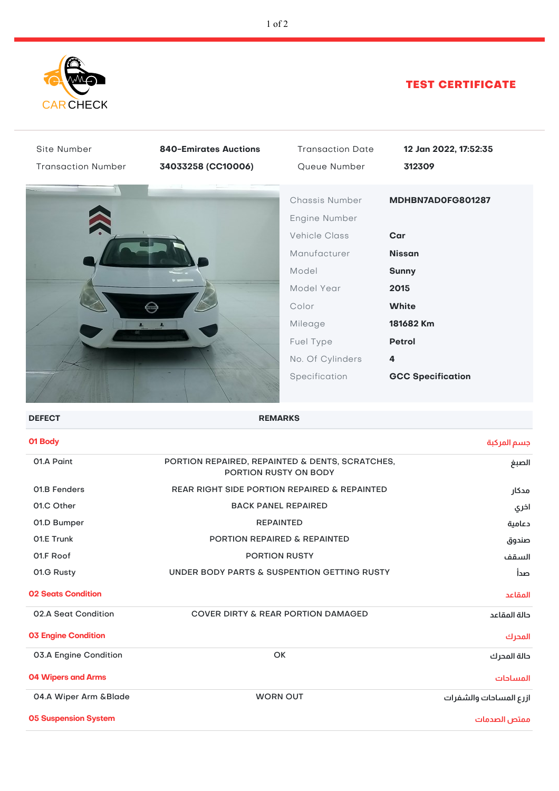

## TEST CERTIFICATE

| Site Number                 | <b>840-Emirates Auctions</b>                                                      | <b>Transaction Date</b> | 12 Jan 2022, 17:52:35    |
|-----------------------------|-----------------------------------------------------------------------------------|-------------------------|--------------------------|
| <b>Transaction Number</b>   | 34033258 (CC10006)                                                                | Queue Number            | 312309                   |
|                             |                                                                                   | Chassis Number          | MDHBN7AD0FG801287        |
|                             |                                                                                   | Engine Number           |                          |
|                             |                                                                                   | <b>Vehicle Class</b>    | Car                      |
|                             |                                                                                   | Manufacturer            | <b>Nissan</b>            |
|                             |                                                                                   | Model                   | <b>Sunny</b>             |
|                             |                                                                                   | Model Year              | 2015                     |
|                             |                                                                                   | Color                   | <b>White</b>             |
|                             |                                                                                   | Mileage                 | 181682 Km                |
|                             |                                                                                   | Fuel Type               | Petrol                   |
|                             |                                                                                   | No. Of Cylinders        | 4                        |
|                             |                                                                                   | Specification           | <b>GCC Specification</b> |
| <b>DEFECT</b>               | <b>REMARKS</b>                                                                    |                         |                          |
| 01 Body                     |                                                                                   |                         | جسم المركبة              |
| 01.A Paint                  | PORTION REPAIRED, REPAINTED & DENTS, SCRATCHES,<br>الصبغ<br>PORTION RUSTY ON BODY |                         |                          |
| 01.B Fenders                | <b>REAR RIGHT SIDE PORTION REPAIRED &amp; REPAINTED</b><br>مدكار                  |                         |                          |
| 01.C Other                  | <b>BACK PANEL REPAIRED</b><br>اخري                                                |                         |                          |
| 01.D Bumper                 | <b>REPAINTED</b>                                                                  |                         | دعامية                   |
| 01.E Trunk                  | PORTION REPAIRED & REPAINTED<br>صندوق                                             |                         |                          |
| 01.F Roof                   | PORTION RUSTY<br>السقف                                                            |                         |                          |
| 01.G Rusty                  | UNDER BODY PARTS & SUSPENTION GETTING RUSTY<br>صدأ                                |                         |                          |
| <b>02 Seats Condition</b>   |                                                                                   |                         | المقاعد                  |
| 02.A Seat Condition         | <b>COVER DIRTY &amp; REAR PORTION DAMAGED</b>                                     |                         | حالة المقاعد             |
| <b>03 Engine Condition</b>  |                                                                                   |                         | المحرك                   |
| 03.A Engine Condition       |                                                                                   | OK                      | حالة المحرك              |
| <b>04 Wipers and Arms</b>   |                                                                                   |                         | المساحات                 |
| 04.A Wiper Arm &Blade       | <b>WORN OUT</b><br>ازرع المساحات والشفرات                                         |                         |                          |
| <b>05 Suspension System</b> |                                                                                   |                         | ممتص الصدمات             |